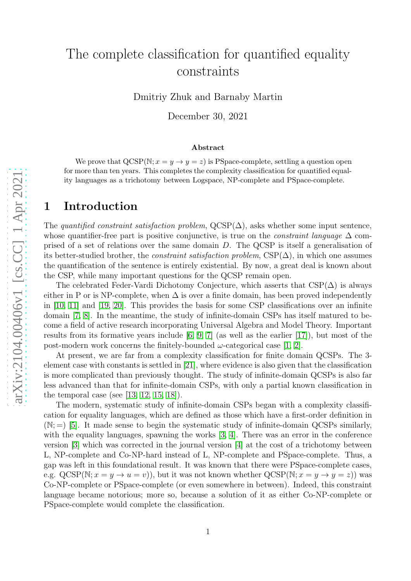# The complete classification for quantified equality constraints

Dmitriy Zhuk and Barnaby Martin

December 30, 2021

#### Abstract

We prove that  $QCSP(N; x = y \rightarrow y = z)$  is PSpace-complete, settling a question open for more than ten years. This completes the complexity classification for quantified equality languages as a trichotomy between Logspace, NP-complete and PSpace-complete.

### 1 Introduction

The quantified constraint satisfaction problem,  $QCSP(\Delta)$ , asks whether some input sentence, whose quantifier-free part is positive conjunctive, is true on the *constraint language*  $\Delta$  comprised of a set of relations over the same domain D. The QCSP is itself a generalisation of its better-studied brother, the *constraint satisfaction problem*,  $CSP(\Delta)$ , in which one assumes the quantification of the sentence is entirely existential. By now, a great deal is known about the CSP, while many important questions for the QCSP remain open.

The celebrated Feder-Vardi Dichotomy Conjecture, which asserts that  $CSP(\Delta)$  is always either in P or is NP-complete, when  $\Delta$  is over a finite domain, has been proved independently in [\[10,](#page-6-0) [11\]](#page-6-1) and [\[19,](#page-6-2) [20\]](#page-6-3). This provides the basis for some CSP classifications over an infinite domain [\[7,](#page-6-4) [8\]](#page-6-5). In the meantime, the study of infinite-domain CSPs has itself matured to become a field of active research incorporating Universal Algebra and Model Theory. Important results from its formative years include [\[6,](#page-5-0) [9,](#page-6-6) [7\]](#page-6-4) (as well as the earlier [\[17\]](#page-6-7)), but most of the post-modern work concerns the finitely-bounded  $\omega$ -categorical case [\[1,](#page-5-1) [2\]](#page-5-2).

At present, we are far from a complexity classification for finite domain QCSPs. The 3 element case with constants is settled in [\[21\]](#page-7-0), where evidence is also given that the classification is more complicated than previously thought. The study of infinite-domain QCSPs is also far less advanced than that for infinite-domain CSPs, with only a partial known classification in the temporal case (see  $[13, 12, 15, 18]$  $[13, 12, 15, 18]$  $[13, 12, 15, 18]$  $[13, 12, 15, 18]$ ).

The modern, systematic study of infinite-domain CSPs began with a complexity classification for equality languages, which are defined as those which have a first-order definition in  $(N; =)$  [\[5\]](#page-5-3). It made sense to begin the systematic study of infinite-domain QCSPs similarly, with the equality languages, spawning the works [\[3,](#page-5-4) [4\]](#page-5-5). There was an error in the conference version [\[3\]](#page-5-4) which was corrected in the journal version [\[4\]](#page-5-5) at the cost of a trichotomy between L, NP-complete and Co-NP-hard instead of L, NP-complete and PSpace-complete. Thus, a gap was left in this foundational result. It was known that there were PSpace-complete cases, e.g.  $QCSP(N; x = y \rightarrow u = v)$ , but it was not known whether  $QCSP(N; x = y \rightarrow y = z)$  was Co-NP-complete or PSpace-complete (or even somewhere in between). Indeed, this constraint language became notorious; more so, because a solution of it as either Co-NP-complete or PSpace-complete would complete the classification.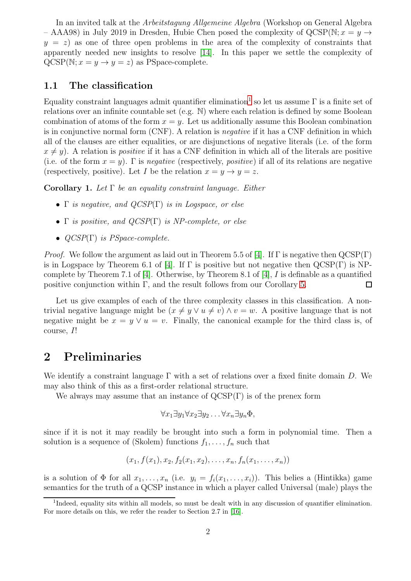In an invited talk at the Arbeitstagung Allgemeine Algebra (Workshop on General Algebra – AAA98) in July 2019 in Dresden, Hubie Chen posed the complexity of  $QCSP(N; x = y \rightarrow$  $y = z$ ) as one of three open problems in the area of the complexity of constraints that apparently needed new insights to resolve [\[14\]](#page-6-12). In this paper we settle the complexity of  $QCSP(N; x = y \rightarrow y = z)$  as PSpace-complete.

### 1.1 The classification

Equality constraint languages admit quantifier elimination<sup>[1](#page-1-0)</sup> so let us assume  $\Gamma$  is a finite set of relations over an infinite countable set (e.g. N) where each relation is defined by some Boolean combination of atoms of the form  $x = y$ . Let us additionally assume this Boolean combination is in conjunctive normal form (CNF). A relation is negative if it has a CNF definition in which all of the clauses are either equalities, or are disjunctions of negative literals (i.e. of the form  $x \neq y$ ). A relation is *positive* if it has a CNF definition in which all of the literals are positive (i.e. of the form  $x = y$ ). Γ is *negative* (respectively, *positive*) if all of its relations are negative (respectively, positive). Let I be the relation  $x = y \rightarrow y = z$ .

Corollary 1. Let  $\Gamma$  be an equality constraint language. Either

- Γ is negative, and  $QCSP(\Gamma)$  is in Logspace, or else
- Γ is positive, and  $QCSP(\Gamma)$  is NP-complete, or else
- QCSP(Γ) is PSpace-complete.

*Proof.* We follow the argument as laid out in Theorem 5.5 of [\[4\]](#page-5-5). If  $\Gamma$  is negative then  $QCSP(\Gamma)$ is in Logspace by Theorem 6.1 of [\[4\]](#page-5-5). If  $\Gamma$  is positive but not negative then  $QCSP(\Gamma)$  is NPcomplete by Theorem 7.1 of  $[4]$ . Otherwise, by Theorem 8.1 of  $[4]$ , I is definable as a quantified positive conjunction within  $\Gamma$ , and the result follows from our Corollary [5.](#page-5-6)  $\Box$ 

Let us give examples of each of the three complexity classes in this classification. A nontrivial negative language might be  $(x \neq y \lor u \neq v) \land v = w$ . A positive language that is not negative might be  $x = y \vee u = v$ . Finally, the canonical example for the third class is, of course, I!

### 2 Preliminaries

We identify a constraint language  $\Gamma$  with a set of relations over a fixed finite domain D. We may also think of this as a first-order relational structure.

We always may assume that an instance of  $QCSP(\Gamma)$  is of the prenex form

$$
\forall x_1 \exists y_1 \forall x_2 \exists y_2 \dots \forall x_n \exists y_n \Phi,
$$

since if it is not it may readily be brought into such a form in polynomial time. Then a solution is a sequence of (Skolem) functions  $f_1, \ldots, f_n$  such that

$$
(x_1, f(x_1), x_2, f_2(x_1, x_2), \ldots, x_n, f_n(x_1, \ldots, x_n))
$$

is a solution of  $\Phi$  for all  $x_1, \ldots, x_n$  (i.e.  $y_i = f_i(x_1, \ldots, x_i)$ ). This belies a (Hintikka) game semantics for the truth of a QCSP instance in which a player called Universal (male) plays the

<span id="page-1-0"></span><sup>&</sup>lt;sup>1</sup>Indeed, equality sits within all models, so must be dealt with in any discussion of quantifier elimination. For more details on this, we refer the reader to Section 2.7 in [\[16\]](#page-6-13).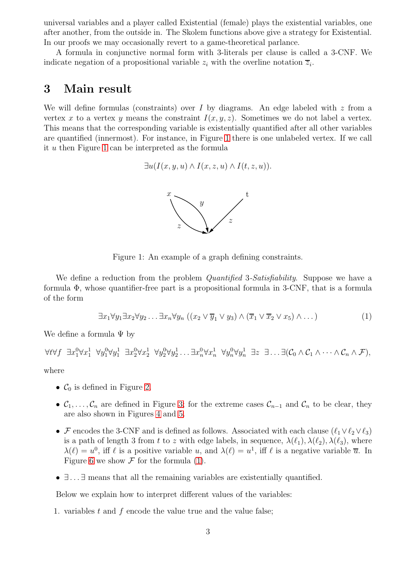universal variables and a player called Existential (female) plays the existential variables, one after another, from the outside in. The Skolem functions above give a strategy for Existential. In our proofs we may occasionally revert to a game-theoretical parlance.

A formula in conjunctive normal form with 3-literals per clause is called a 3-CNF. We indicate negation of a propositional variable  $z_i$  with the overline notation  $\overline{z}_i$ .

### 3 Main result

We will define formulas (constraints) over I by diagrams. An edge labeled with  $z$  from a vertex x to a vertex y means the constraint  $I(x, y, z)$ . Sometimes we do not label a vertex. This means that the corresponding variable is existentially quantified after all other variables are quantified (innermost). For instance, in Figure [1](#page-2-0) there is one unlabeled vertex. If we call it u then Figure [1](#page-2-0) can be interpreted as the formula

$$
\exists u (I(x, y, u) \land I(x, z, u) \land I(t, z, u)).
$$

<span id="page-2-1"></span>

<span id="page-2-0"></span>Figure 1: An example of a graph defining constraints.

We define a reduction from the problem *Quantified 3-Satisfiability*. Suppose we have a formula Φ, whose quantifier-free part is a propositional formula in 3-CNF, that is a formula of the form

$$
\exists x_1 \forall y_1 \exists x_2 \forall y_2 \dots \exists x_n \forall y_n ((x_2 \lor \overline{y}_1 \lor y_3) \land (\overline{x}_1 \lor \overline{x}_2 \lor x_5) \land \dots)
$$
\n(1)

We define a formula  $\Psi$  by

 $\forall t \forall f \; \; \exists x_1^0 \forall x_1^1 \; \; \forall y_1^0 \forall y_1^1 \; \; \exists x_2^0 \forall x_2^1 \; \; \forall y_2^0 \forall y_2^1 \; \ldots \exists x_n^0 \forall x_n^1 \; \; \forall y_n^0 \forall y_n^1 \; \; \exists z \; \; \exists \ldots \exists (\mathcal{C}_0 \wedge \mathcal{C}_1 \wedge \cdots \wedge \mathcal{C}_n \wedge \mathcal{F}),$ 

where

- $\mathcal{C}_0$  is defined in Figure [2.](#page-3-0)
- $\mathcal{C}_1, \ldots, \mathcal{C}_n$  are defined in Figure [3;](#page-3-1) for the extreme cases  $\mathcal{C}_{n-1}$  and  $\mathcal{C}_n$  to be clear, they are also shown in Figures [4](#page-4-0) and [5.](#page-4-1)
- F encodes the 3-CNF and is defined as follows. Associated with each clause  $(\ell_1 \vee \ell_2 \vee \ell_3)$ is a path of length 3 from t to z with edge labels, in sequence,  $\lambda(\ell_1), \lambda(\ell_2), \lambda(\ell_3)$ , where  $\lambda(\ell) = u^0$ , iff  $\ell$  is a positive variable u, and  $\lambda(\ell) = u^1$ , iff  $\ell$  is a negative variable  $\overline{u}$ . In Figure [6](#page-4-2) we show  $\mathcal F$  for the formula [\(1\)](#page-2-1).
- $\exists$ ...  $\exists$  means that all the remaining variables are existentially quantified.

Below we explain how to interpret different values of the variables:

1. variables t and f encode the value true and the value false;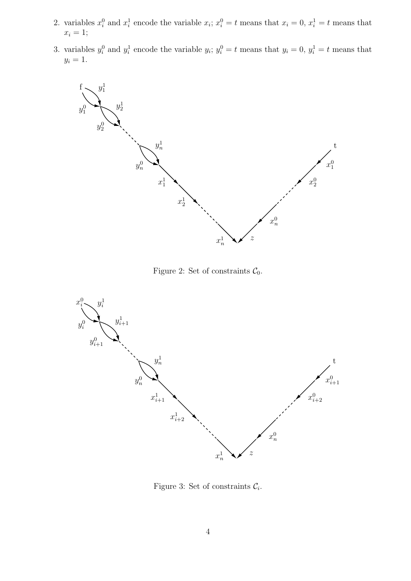- 2. variables  $x_i^0$  and  $x_i^1$  encode the variable  $x_i$ ;  $x_i^0 = t$  means that  $x_i = 0$ ,  $x_i^1 = t$  means that  $x_i = 1;$
- 3. variables  $y_i^0$  and  $y_i^1$  encode the variable  $y_i$ ;  $y_i^0 = t$  means that  $y_i = 0$ ,  $y_i^1 = t$  means that  $y_i = 1$ .



<span id="page-3-0"></span>Figure 2: Set of constraints  $C_0$ .



<span id="page-3-1"></span>Figure 3: Set of constraints  $\mathcal{C}_i$ .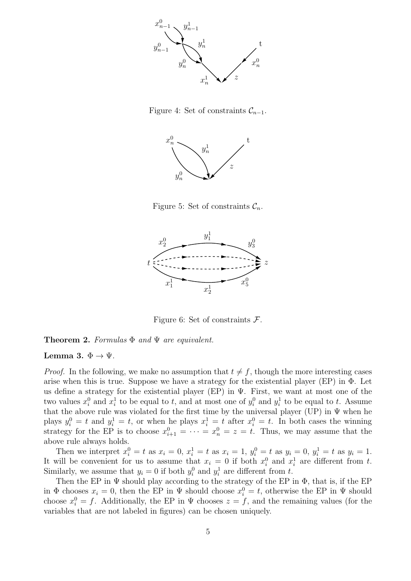

Figure 4: Set of constraints  $\mathcal{C}_{n-1}$ .

<span id="page-4-0"></span>

<span id="page-4-1"></span>Figure 5: Set of constraints  $\mathcal{C}_n$ .



<span id="page-4-2"></span>Figure 6: Set of constraints  $\mathcal{F}$ .

**Theorem 2.** Formulas  $\Phi$  and  $\Psi$  are equivalent.

#### Lemma 3.  $\Phi \to \Psi$ .

*Proof.* In the following, we make no assumption that  $t \neq f$ , though the more interesting cases arise when this is true. Suppose we have a strategy for the existential player (EP) in  $\Phi$ . Let us define a strategy for the existential player (EP) in  $\Psi$ . First, we want at most one of the two values  $x_i^0$  and  $x_i^1$  to be equal to t, and at most one of  $y_i^0$  and  $y_i^1$  to be equal to t. Assume that the above rule was violated for the first time by the universal player (UP) in  $\Psi$  when he plays  $y_i^0 = t$  and  $y_i^1 = t$ , or when he plays  $x_i^1 = t$  after  $x_i^0 = t$ . In both cases the winning strategy for the EP is to choose  $x_{i+1}^0 = \cdots = x_n^0 = z = t$ . Thus, we may assume that the above rule always holds.

Then we interpret  $x_i^0 = t$  as  $x_i = 0$ ,  $x_i^1 = t$  as  $x_i = 1$ ,  $y_i^0 = t$  as  $y_i = 0$ ,  $y_i^1 = t$  as  $y_i = 1$ . It will be convenient for us to assume that  $x_i = 0$  if both  $x_i^0$  and  $x_i^1$  are different from t. Similarly, we assume that  $y_i = 0$  if both  $y_i^0$  and  $y_i^1$  are different from t.

Then the EP in  $\Psi$  should play according to the strategy of the EP in  $\Phi$ , that is, if the EP in  $\Phi$  chooses  $x_i = 0$ , then the EP in  $\Psi$  should choose  $x_i^0 = t$ , otherwise the EP in  $\Psi$  should choose  $x_i^0 = f$ . Additionally, the EP in  $\Psi$  chooses  $z = f$ , and the remaining values (for the variables that are not labeled in figures) can be chosen uniquely.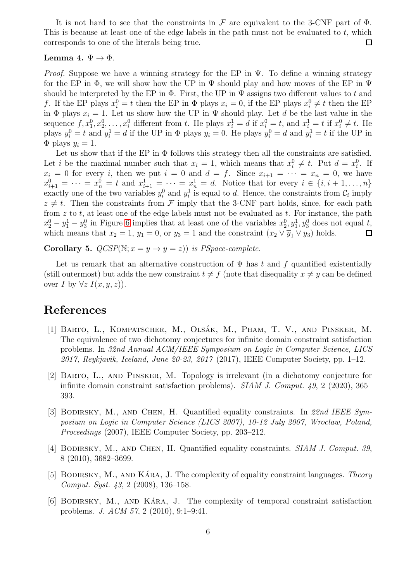It is not hard to see that the constraints in  $\mathcal F$  are equivalent to the 3-CNF part of  $\Phi$ . This is because at least one of the edge labels in the path must not be evaluated to  $t$ , which corresponds to one of the literals being true.  $\Box$ 

#### Lemma 4.  $\Psi \rightarrow \Phi$ .

*Proof.* Suppose we have a winning strategy for the EP in  $\Psi$ . To define a winning strategy for the EP in  $\Phi$ , we will show how the UP in  $\Psi$  should play and how moves of the EP in  $\Psi$ should be interpreted by the EP in  $\Phi$ . First, the UP in  $\Psi$  assigns two different values to t and f. If the EP plays  $x_i^0 = t$  then the EP in  $\Phi$  plays  $x_i = 0$ , if the EP plays  $x_i^0 \neq t$  then the EP in  $\Phi$  plays  $x_i = 1$ . Let us show how the UP in  $\Psi$  should play. Let d be the last value in the sequence  $f, x_1^0, x_2^0, \ldots, x_i^0$  different from t. He plays  $x_i^1 = d$  if  $x_i^0 = t$ , and  $x_i^1 = t$  if  $x_i^0 \neq t$ . He plays  $y_i^0 = t$  and  $y_i^1 = d$  if the UP in  $\Phi$  plays  $y_i = 0$ . He plays  $y_i^0 = d$  and  $y_i^1 = t$  if the UP in  $\Phi$  plays  $y_i = 1$ .

Let us show that if the EP in  $\Phi$  follows this strategy then all the constraints are satisfied. Let i be the maximal number such that  $x_i = 1$ , which means that  $x_i^0 \neq t$ . Put  $d = x_i^0$ . If  $x_i = 0$  for every i, then we put  $i = 0$  and  $d = f$ . Since  $x_{i+1} = \cdots = x_n = 0$ , we have  $x_{i+1}^0 = \cdots = x_n^0 = t$  and  $x_{i+1}^1 = \cdots = x_n^1 = d$ . Notice that for every  $i \in \{i, i+1, \ldots, n\}$ exactly one of the two variables  $y_i^0$  and  $y_i^1$  is equal to d. Hence, the constraints from  $\mathcal{C}_i$  imply  $z \neq t$ . Then the constraints from F imply that the 3-CNF part holds, since, for each path from  $z$  to  $t$ , at least one of the edge labels must not be evaluated as  $t$ . For instance, the path  $x_2^0 - y_1^1 - y_3^0$  in Figure [6](#page-4-2) implies that at least one of the variables  $x_2^0, y_1^1, y_3^0$  does not equal t, which means that  $x_2 = 1$ ,  $y_1 = 0$ , or  $y_3 = 1$  and the constraint  $(x_2 \vee \overline{y}_1 \vee y_3)$  holds.  $\Box$ 

<span id="page-5-6"></span>**Corollary 5.**  $QCSP(N; x = y \rightarrow y = z)$  is PSpace-complete.

Let us remark that an alternative construction of  $\Psi$  has t and f quantified existentially (still outermost) but adds the new constraint  $t \neq f$  (note that disequality  $x \neq y$  can be defined over I by  $\forall z \ I(x,y,z)$ .

## <span id="page-5-1"></span>References

- [1] BARTO, L., KOMPATSCHER, M., OLSÁK, M., PHAM, T. V., AND PINSKER, M. The equivalence of two dichotomy conjectures for infinite domain constraint satisfaction problems. In 32nd Annual ACM/IEEE Symposium on Logic in Computer Science, LICS 2017, Reykjavik, Iceland, June 20-23, 2017 (2017), IEEE Computer Society, pp. 1–12.
- <span id="page-5-2"></span>[2] Barto, L., and Pinsker, M. Topology is irrelevant (in a dichotomy conjecture for infinite domain constraint satisfaction problems). SIAM J. Comput. 49, 2 (2020), 365– 393.
- <span id="page-5-4"></span>[3] BODIRSKY, M., AND CHEN, H. Quantified equality constraints. In 22nd IEEE Symposium on Logic in Computer Science (LICS 2007), 10-12 July 2007, Wroclaw, Poland, Proceedings (2007), IEEE Computer Society, pp. 203–212.
- <span id="page-5-5"></span>[4] BODIRSKY, M., AND CHEN, H. Quantified equality constraints. SIAM J. Comput. 39, 8 (2010), 3682–3699.
- <span id="page-5-3"></span>[5] BODIRSKY, M., AND KARA, J. The complexity of equality constraint languages. Theory Comput. Syst. 43, 2 (2008), 136–158.
- <span id="page-5-0"></span>[6] BODIRSKY, M., AND KÁRA, J. The complexity of temporal constraint satisfaction problems. J. ACM 57, 2 (2010), 9:1–9:41.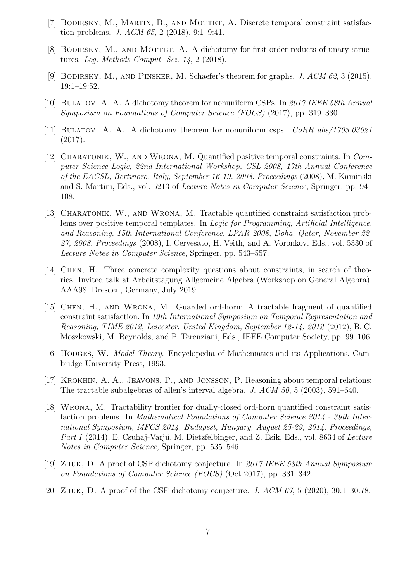- <span id="page-6-5"></span><span id="page-6-4"></span>[7] BODIRSKY, M., MARTIN, B., AND MOTTET, A. Discrete temporal constraint satisfaction problems. J. ACM 65, 2 (2018), 9:1–9:41.
- <span id="page-6-6"></span>[8] BODIRSKY, M., AND MOTTET, A. A dichotomy for first-order reducts of unary structures. Log. Methods Comput. Sci. 14, 2 (2018).
- <span id="page-6-0"></span>[9] Bodirsky, M., and Pinsker, M. Schaefer's theorem for graphs. J. ACM 62, 3 (2015), 19:1–19:52.
- <span id="page-6-1"></span>[10] BULATOV, A. A. A dichotomy theorem for nonuniform CSPs. In 2017 IEEE 58th Annual Symposium on Foundations of Computer Science (FOCS) (2017), pp. 319–330.
- <span id="page-6-9"></span>[11] BULATOV, A. A. A dichotomy theorem for nonuniform csps.  $CORR$  abs/1703.03021 (2017).
- [12] Charatonik, W., and Wrona, M. Quantified positive temporal constraints. In Computer Science Logic, 22nd International Workshop, CSL 2008, 17th Annual Conference of the EACSL, Bertinoro, Italy, September 16-19, 2008. Proceedings (2008), M. Kaminski and S. Martini, Eds., vol. 5213 of Lecture Notes in Computer Science, Springer, pp. 94– 108.
- <span id="page-6-8"></span>[13] CHARATONIK, W., AND WRONA, M. Tractable quantified constraint satisfaction problems over positive temporal templates. In Logic for Programming, Artificial Intelligence, and Reasoning, 15th International Conference, LPAR 2008, Doha, Qatar, November 22- 27, 2008. Proceedings (2008), I. Cervesato, H. Veith, and A. Voronkov, Eds., vol. 5330 of Lecture Notes in Computer Science, Springer, pp. 543–557.
- <span id="page-6-12"></span>[14] Chen, H. Three concrete complexity questions about constraints, in search of theories. Invited talk at Arbeitstagung Allgemeine Algebra (Workshop on General Algebra), AAA98, Dresden, Germany, July 2019.
- <span id="page-6-10"></span>[15] Chen, H., and Wrona, M. Guarded ord-horn: A tractable fragment of quantified constraint satisfaction. In 19th International Symposium on Temporal Representation and Reasoning, TIME 2012, Leicester, United Kingdom, September 12-14, 2012 (2012), B. C. Moszkowski, M. Reynolds, and P. Terenziani, Eds., IEEE Computer Society, pp. 99–106.
- <span id="page-6-13"></span><span id="page-6-7"></span>[16] HODGES, W. *Model Theory*. Encyclopedia of Mathematics and its Applications. Cambridge University Press, 1993.
- [17] KROKHIN, A. A., JEAVONS, P., AND JONSSON, P. Reasoning about temporal relations: The tractable subalgebras of allen's interval algebra. J. ACM 50, 5 (2003), 591–640.
- <span id="page-6-11"></span>[18] Wrona, M. Tractability frontier for dually-closed ord-horn quantified constraint satisfaction problems. In Mathematical Foundations of Computer Science 2014 - 39th International Symposium, MFCS 2014, Budapest, Hungary, August 25-29, 2014. Proceedings, Part I (2014), E. Csuhaj-Varjú, M. Dietzfelbinger, and Z. Ésik, Eds., vol. 8634 of Lecture Notes in Computer Science, Springer, pp. 535–546.
- <span id="page-6-2"></span>[19] Zhuk, D. A proof of CSP dichotomy conjecture. In 2017 IEEE 58th Annual Symposium on Foundations of Computer Science (FOCS) (Oct 2017), pp. 331–342.
- <span id="page-6-3"></span>[20] ZHUK, D. A proof of the CSP dichotomy conjecture. *J. ACM 67*, 5 (2020), 30:1–30:78.